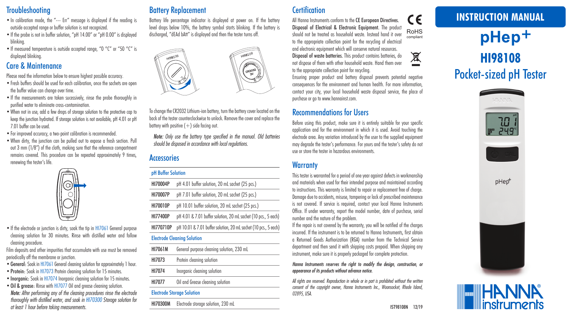# **Troubleshooting**

- •In calibration mode, the "--- Err" message is displayed if the reading is outside accepted range or buffer solution is not recognized.
- If the probe is not in buffer solution, "pH 14.00" or "pH 0.00" is displayed blinking.
- If measured temperature is outside accepted range, "0 °C" or "50 °C" is displayed blinking.

## Care & Maintenance

Please read the information below to ensure highest possible accuracy.

- •Fresh buffers should be used for each calibration, once the sachets are open the buffer value can change over time.
- If the measurements are taken sucessively, rinse the probe thoroughly in purified water to eliminate cross-contamination.
- •When not in use, add a few drops of storage solution to the protective cap to keep the junction hydrated. If storage solution is not available, pH 4.01 or pH 7.01 buffer can be used.
- •For improved accuracy, a two-point calibration is recommended.
- •When dirty, the junction can be pulled out to expose a fresh section. Pull out 3 mm (1/8") of the cloth, making sure that the reference compartment remains covered. This procedure can be repeated approximately 9 times, renewing the tester's life.



• If the electrode or junction is dirty, soak the tip in HI7061 General purpose cleaning solution for 30 minutes. Rinse with distilled water and follow cleaning procedure.

Film deposits and other impurities that accumulate with use must be removed periodically off the membrane or junction.

- •General: Soak in HI7061 General cleaning solution for approximately 1 hour.
- Protein: Soak in H17073 Protein cleaning solution for 15 minutes.
- Inorganic: Soak in HI7074 Inorganic cleaning solution for 15 minutes.
- •Oil & grease: Rinse with HI7077 Oil and grease cleaning solution. *Note: After performing any of the cleaning procedures rinse the electrode thoroughly with distilled water, and soak in HI70300 Storage solution for at least 1 hour before taking measurements.*

# Battery Replacement

Battery life percentage indicator is displayed at power on. If the battery level drops below 10%, the battery symbol starts blinking. If the battery is discharged, "dEAd bAtt" is displayed and then the tester turns off.



To change the CR2032 Lithium-ion battery, turn the battery cover located on the back of the tester counterclockwise to unlock. Remove the cover and replace the battery with positive  $(+)$  side facing out.

*Note: Only use the battery type specified in the manual. Old batteries should be disposed in accordance with local regulations.*

## **Accessories**

#### pH Buffer Solution

| HI70004P  | pH 4.01 buffer solution, 20 mL sachet (25 pcs.)                 |
|-----------|-----------------------------------------------------------------|
| HI70007P  | pH 7.01 buffer solution, 20 mL sachet (25 pcs.)                 |
| HI70010P  | pH 10.01 buffer solution, 20 mL sachet (25 pcs.)                |
| HI77400P  | pH 4.01 & 7.01 buffer solution, 20 mL sachet (10 pcs., 5 each)  |
| HI770710P | pH 10.01 & 7.01 buffer solution, 20 mL sachet (10 pcs., 5 each) |
|           | <b>Electrode Cleaning Solution</b>                              |
| HI7061M   | General purpose cleaning solution, 230 mL                       |
| HI7073    | Protein cleaning solution                                       |
| HI7074    | Inorganic cleaning solution                                     |
| HI7077    | Oil and Grease cleaning solution                                |
|           |                                                                 |

#### Electrode Storage Solution

HI70300M Electrode storage solution, 230 mL

# **Certification**

 $\epsilon$ All Hanna Instruments conform to the CE European Directives. Disposal of Electrical & Electronic Equipment. The product RoHS should not be treated as household waste. Instead hand it over compliant to the appropriate collection point for the recycling of electrical and electronic equipment which will conserve natural resources. 凰

Disposal of waste batteries. This product contains batteries, do not dispose of them with other household waste. Hand them over to the appropriate collection point for recycling.

Ensuring proper product and battery disposal prevents potential negative consequences for the environment and human health. For more information, contact your city, your local household waste disposal service, the place of purchase or go to www.hannainst.com.

# Recommendations for Users

Before using this product, make sure it is entirely suitable for your specific application and for the environment in which it is used. Avoid touching the electrode area. Any variation introduced by the user to the supplied equipment may degrade the tester's performance. For yours and the tester's safety do not use or store the tester in hazardous environments.

# **Warranty**

This tester is warranted for a period of one year against defects in workmanship and materials when used for their intended purpose and maintained according to instructions. This warranty is limited to repair or replacement free of charge. Damage due to accidents, misuse, tampering or lack of prescribed maintenance is not covered. If service is required, contact your local Hanna Instruments Office. If under warranty, report the model number, date of purchase, serial number and the nature of the problem.

If the repair is not covered by the warranty, you will be notified of the charges incurred. If the instrument is to be returned to Hanna Instruments, first obtain a Returned Goods Authorization (RGA) number from the Technical Service department and then send it with shipping costs prepaid. When shipping any instrument, make sure it is properly packaged for complete protection.

#### *Hanna Instruments reserves the right to modify the design, construction, or appearance of its products without advance notice.*

*All rights are reserved. Reproduction in whole or in part is prohibited without the written consent of the copyright owner, Hanna Instruments Inc., Woonsocket, Rhode Island, 02895, USA.*

# **INSTRUCTION MANUAL**

# pHep<sup>+</sup> **HI98108** Pocket-sized pH Tester